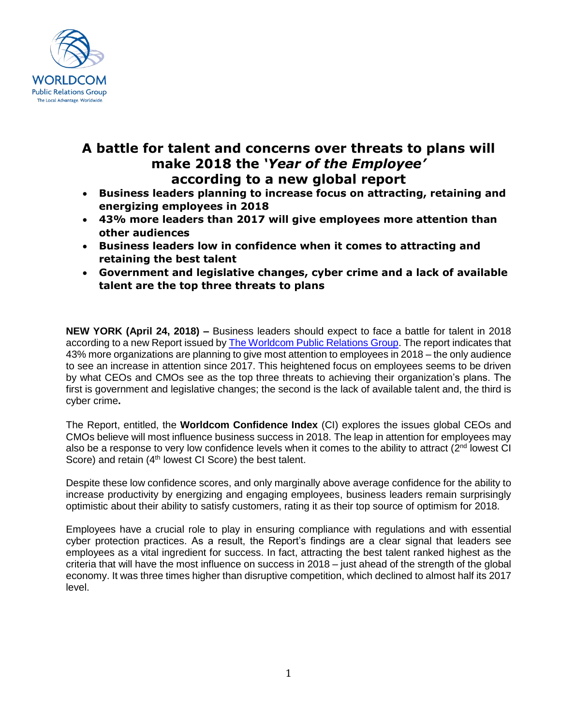

## **A battle for talent and concerns over threats to plans will make 2018 the** *'Year of the Employee'* **according to a new global report**

- **Business leaders planning to increase focus on attracting, retaining and energizing employees in 2018**
- **43% more leaders than 2017 will give employees more attention than other audiences**
- **Business leaders low in confidence when it comes to attracting and retaining the best talent**
- **Government and legislative changes, cyber crime and a lack of available talent are the top three threats to plans**

**NEW YORK (April 24, 2018) –** Business leaders should expect to face a battle for talent in 2018 according to a new Report issued by [The Worldcom Public Relations Group.](https://worldcomgroup.com/) The report indicates that 43% more organizations are planning to give most attention to employees in 2018 – the only audience to see an increase in attention since 2017. This heightened focus on employees seems to be driven by what CEOs and CMOs see as the top three threats to achieving their organization's plans. The first is government and legislative changes; the second is the lack of available talent and, the third is cyber crime**.** 

The Report, entitled, the **Worldcom Confidence Index** (CI) explores the issues global CEOs and CMOs believe will most influence business success in 2018. The leap in attention for employees may also be a response to very low confidence levels when it comes to the ability to attract (2<sup>nd</sup> lowest CI Score) and retain  $(4<sup>th</sup>$  lowest CI Score) the best talent.

Despite these low confidence scores, and only marginally above average confidence for the ability to increase productivity by energizing and engaging employees, business leaders remain surprisingly optimistic about their ability to satisfy customers, rating it as their top source of optimism for 2018.

Employees have a crucial role to play in ensuring compliance with regulations and with essential cyber protection practices. As a result, the Report's findings are a clear signal that leaders see employees as a vital ingredient for success. In fact, attracting the best talent ranked highest as the criteria that will have the most influence on success in 2018 – just ahead of the strength of the global economy. It was three times higher than disruptive competition, which declined to almost half its 2017 level.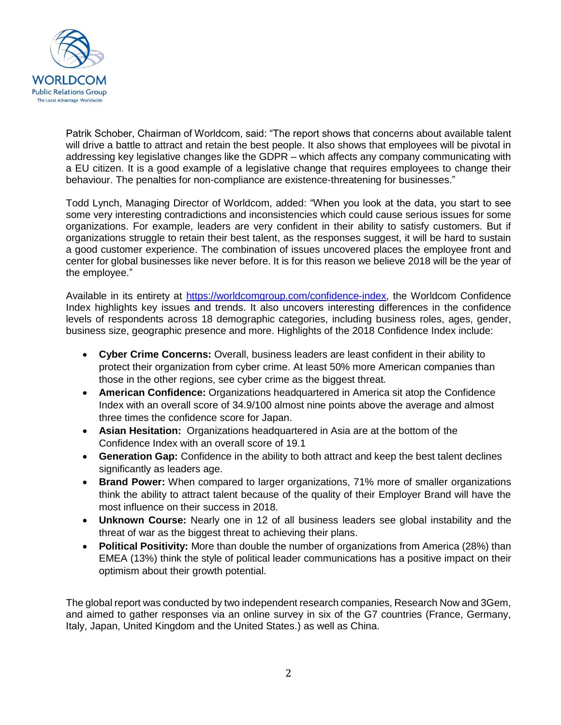

Patrik Schober, Chairman of Worldcom, said: "The report shows that concerns about available talent will drive a battle to attract and retain the best people. It also shows that employees will be pivotal in addressing key legislative changes like the GDPR – which affects any company communicating with a EU citizen. It is a good example of a legislative change that requires employees to change their behaviour. The penalties for non-compliance are existence-threatening for businesses."

Todd Lynch, Managing Director of Worldcom, added: "When you look at the data, you start to see some very interesting contradictions and inconsistencies which could cause serious issues for some organizations. For example, leaders are very confident in their ability to satisfy customers. But if organizations struggle to retain their best talent, as the responses suggest, it will be hard to sustain a good customer experience. The combination of issues uncovered places the employee front and center for global businesses like never before. It is for this reason we believe 2018 will be the year of the employee."

Available in its entirety at<https://worldcomgroup.com/>confidence-index, the Worldcom Confidence Index highlights key issues and trends. It also uncovers interesting differences in the confidence levels of respondents across 18 demographic categories, including business roles, ages, gender, business size, geographic presence and more. Highlights of the 2018 Confidence Index include:

- **Cyber Crime Concerns:** Overall, business leaders are least confident in their ability to protect their organization from cyber crime. At least 50% more American companies than those in the other regions, see cyber crime as the biggest threat.
- **American Confidence:** Organizations headquartered in America sit atop the Confidence Index with an overall score of 34.9/100 almost nine points above the average and almost three times the confidence score for Japan.
- **Asian Hesitation:** Organizations headquartered in Asia are at the bottom of the Confidence Index with an overall score of 19.1
- **Generation Gap:** Confidence in the ability to both attract and keep the best talent declines significantly as leaders age.
- **Brand Power:** When compared to larger organizations, 71% more of smaller organizations think the ability to attract talent because of the quality of their Employer Brand will have the most influence on their success in 2018.
- **Unknown Course:** Nearly one in 12 of all business leaders see global instability and the threat of war as the biggest threat to achieving their plans.
- **Political Positivity:** More than double the number of organizations from America (28%) than EMEA (13%) think the style of political leader communications has a positive impact on their optimism about their growth potential.

The global report was conducted by two independent research companies, Research Now and 3Gem, and aimed to gather responses via an online survey in six of the G7 countries (France, Germany, Italy, Japan, United Kingdom and the United States.) as well as China.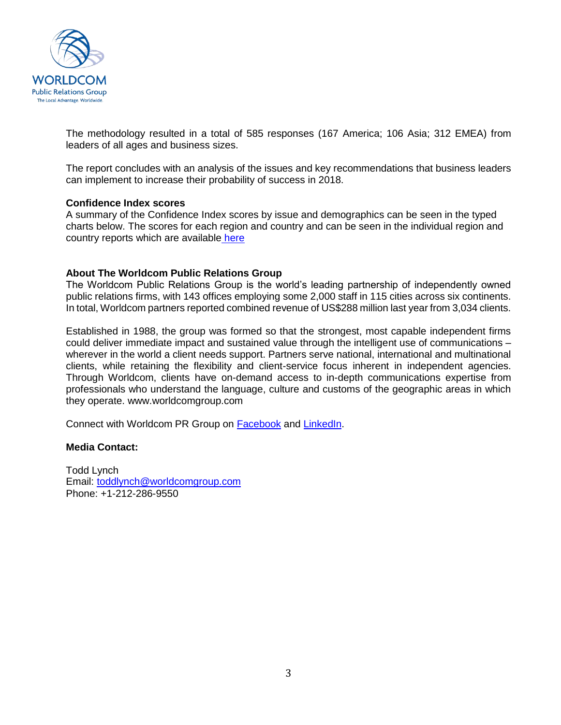

The methodology resulted in a total of 585 responses (167 America; 106 Asia; 312 EMEA) from leaders of all ages and business sizes.

The report concludes with an analysis of the issues and key recommendations that business leaders can implement to increase their probability of success in 2018.

#### **Confidence Index scores**

A summary of the Confidence Index scores by issue and demographics can be seen in the typed charts below. The scores for each region and country and can be seen in the individual region and country reports which are available [here](https://worldcomgroup.com/resources/confidence-index-regional-country)

### **About The Worldcom Public Relations Group**

The Worldcom Public Relations Group is the world's leading partnership of independently owned public relations firms, with 143 offices employing some 2,000 staff in 115 cities across six continents. In total, Worldcom partners reported combined revenue of US\$288 million last year from 3,034 clients.

Established in 1988, the group was formed so that the strongest, most capable independent firms could deliver immediate impact and sustained value through the intelligent use of communications – wherever in the world a client needs support. Partners serve national, international and multinational clients, while retaining the flexibility and client-service focus inherent in independent agencies. Through Worldcom, clients have on-demand access to in-depth communications expertise from professionals who understand the language, culture and customs of the geographic areas in which they operate. www.worldcomgroup.com

Connect with Worldcom PR Group on [Facebook](https://www.facebook.com/worldcompr) and [LinkedIn.](https://www.linkedin.com/company/511072/)

### **Media Contact:**

Todd Lynch Email: [toddlynch@worldcomgroup.com](mailto:toddlynch@worldcomgroup.com) Phone: +1-212-286-9550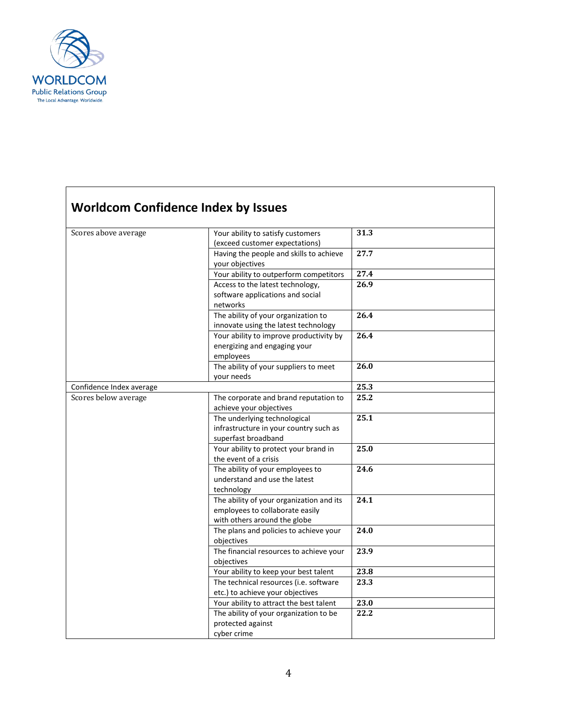

# **Worldcom Confidence Index by Issues**

| Scores above average     | Your ability to satisfy customers        | 31.3 |
|--------------------------|------------------------------------------|------|
|                          | (exceed customer expectations)           |      |
|                          | Having the people and skills to achieve  | 27.7 |
|                          | your objectives                          |      |
|                          | Your ability to outperform competitors   | 27.4 |
|                          | Access to the latest technology,         | 26.9 |
|                          | software applications and social         |      |
|                          | networks                                 |      |
|                          | The ability of your organization to      | 26.4 |
|                          | innovate using the latest technology     |      |
|                          | Your ability to improve productivity by  | 26.4 |
|                          | energizing and engaging your             |      |
|                          | employees                                |      |
|                          | The ability of your suppliers to meet    | 26.0 |
|                          | vour needs                               |      |
| Confidence Index average |                                          | 25.3 |
| Scores below average     | The corporate and brand reputation to    | 25.2 |
|                          | achieve your objectives                  |      |
|                          | The underlying technological             | 25.1 |
|                          | infrastructure in your country such as   |      |
|                          | superfast broadband                      |      |
|                          | Your ability to protect your brand in    | 25.0 |
|                          | the event of a crisis                    |      |
|                          | The ability of your employees to         | 24.6 |
|                          | understand and use the latest            |      |
|                          | technology                               |      |
|                          | The ability of your organization and its | 24.1 |
|                          | employees to collaborate easily          |      |
|                          | with others around the globe             |      |
|                          | The plans and policies to achieve your   | 24.0 |
|                          | objectives                               |      |
|                          | The financial resources to achieve your  | 23.9 |
|                          | objectives                               |      |
|                          | Your ability to keep your best talent    | 23.8 |
|                          | The technical resources (i.e. software   | 23.3 |
|                          | etc.) to achieve your objectives         |      |
|                          | Your ability to attract the best talent  | 23.0 |
|                          | The ability of your organization to be   | 22.2 |
|                          | protected against                        |      |
|                          | cyber crime                              |      |